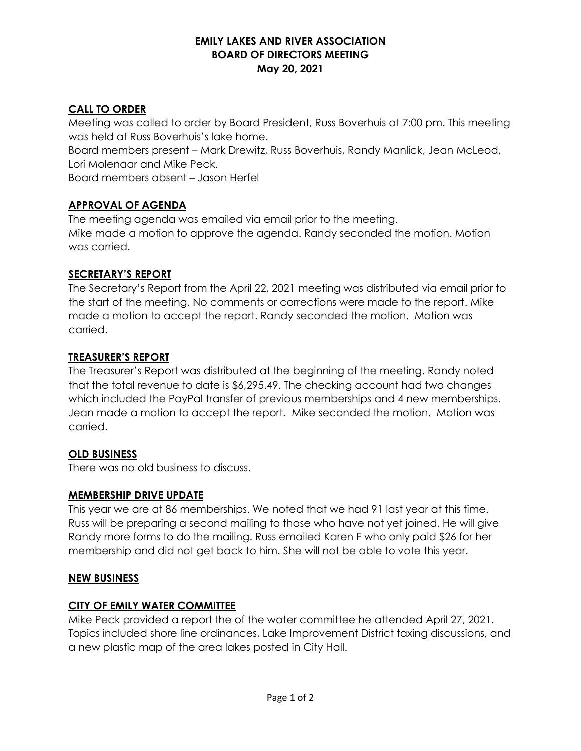## **EMILY LAKES AND RIVER ASSOCIATION BOARD OF DIRECTORS MEETING May 20, 2021**

# **CALL TO ORDER**

Meeting was called to order by Board President, Russ Boverhuis at 7:00 pm. This meeting was held at Russ Boverhuis's lake home.

Board members present – Mark Drewitz, Russ Boverhuis, Randy Manlick, Jean McLeod, Lori Molenaar and Mike Peck.

Board members absent – Jason Herfel

# **APPROVAL OF AGENDA**

The meeting agenda was emailed via email prior to the meeting. Mike made a motion to approve the agenda. Randy seconded the motion. Motion was carried.

## **SECRETARY'S REPORT**

The Secretary's Report from the April 22, 2021 meeting was distributed via email prior to the start of the meeting. No comments or corrections were made to the report. Mike made a motion to accept the report. Randy seconded the motion. Motion was carried.

## **TREASURER'S REPORT**

The Treasurer's Report was distributed at the beginning of the meeting. Randy noted that the total revenue to date is \$6,295.49. The checking account had two changes which included the PayPal transfer of previous memberships and 4 new memberships. Jean made a motion to accept the report. Mike seconded the motion. Motion was carried.

## **OLD BUSINESS**

There was no old business to discuss.

## **MEMBERSHIP DRIVE UPDATE**

This year we are at 86 memberships. We noted that we had 91 last year at this time. Russ will be preparing a second mailing to those who have not yet joined. He will give Randy more forms to do the mailing. Russ emailed Karen F who only paid \$26 for her membership and did not get back to him. She will not be able to vote this year.

## **NEW BUSINESS**

## **CITY OF EMILY WATER COMMITTEE**

Mike Peck provided a report the of the water committee he attended April 27, 2021. Topics included shore line ordinances, Lake Improvement District taxing discussions, and a new plastic map of the area lakes posted in City Hall.